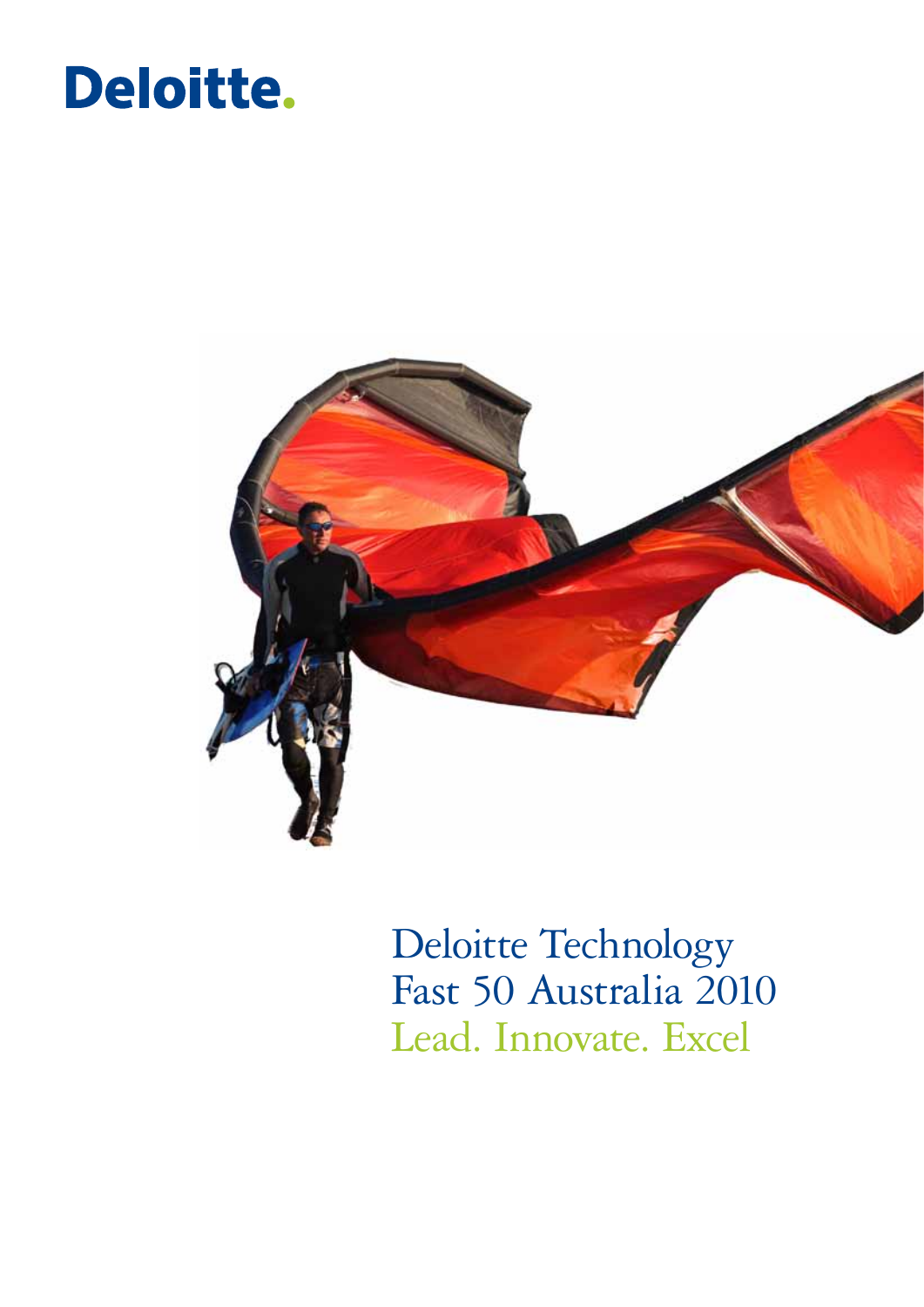### Deloitte.



Deloitte Technology Fast 50 Australia 2010 Lead. Innovate. Excel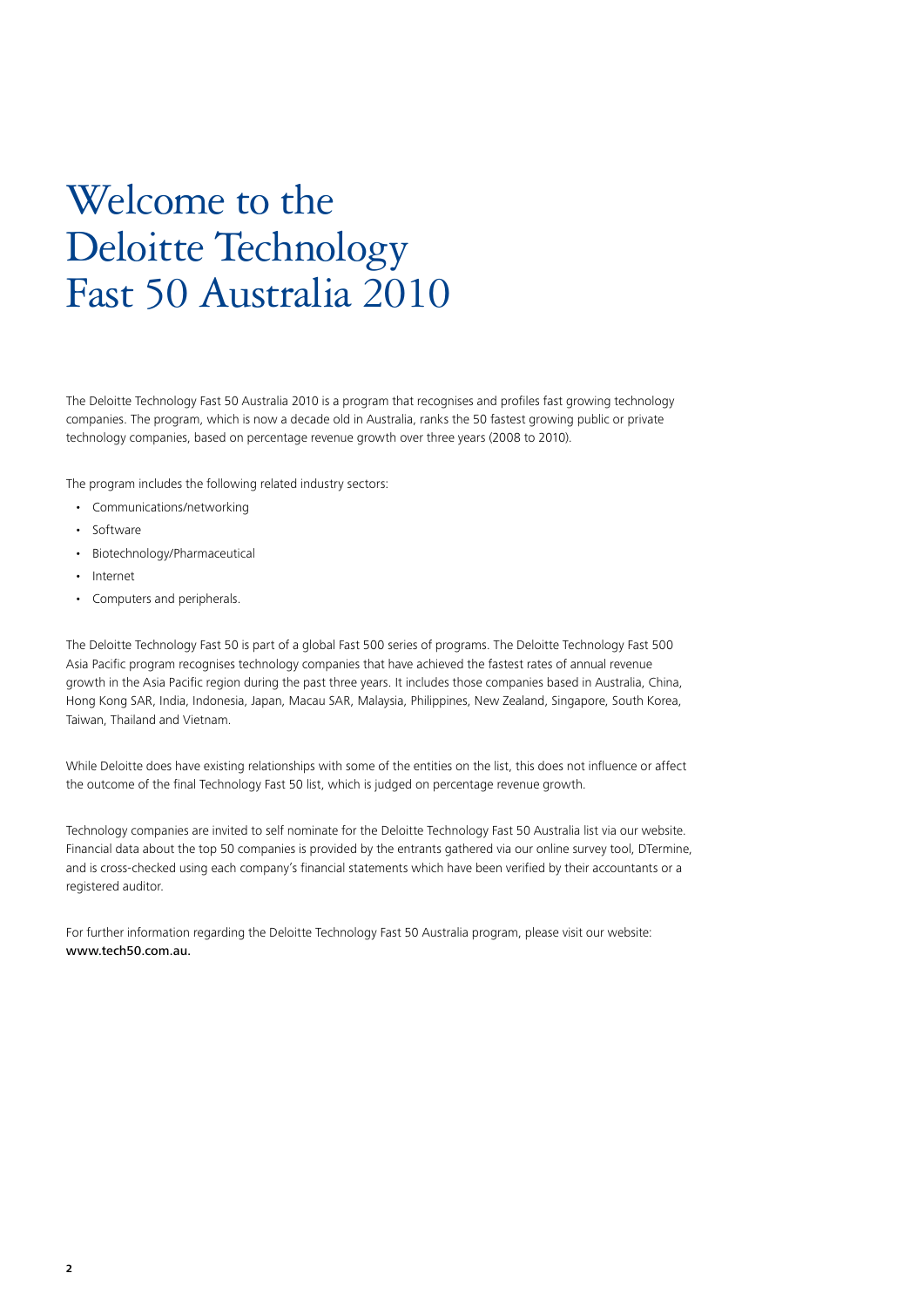### Welcome to the Deloitte Technology Fast 50 Australia 2010

The Deloitte Technology Fast 50 Australia 2010 is a program that recognises and profiles fast growing technology companies. The program, which is now a decade old in Australia, ranks the 50 fastest growing public or private technology companies, based on percentage revenue growth over three years (2008 to 2010).

The program includes the following related industry sectors:

- Communications/networking
- Software
- Biotechnology/Pharmaceutical
- Internet
- Computers and peripherals.

The Deloitte Technology Fast 50 is part of a global Fast 500 series of programs. The Deloitte Technology Fast 500 Asia Pacific program recognises technology companies that have achieved the fastest rates of annual revenue growth in the Asia Pacific region during the past three years. It includes those companies based in Australia, China, Hong Kong SAR, India, Indonesia, Japan, Macau SAR, Malaysia, Philippines, New Zealand, Singapore, South Korea, Taiwan, Thailand and Vietnam.

While Deloitte does have existing relationships with some of the entities on the list, this does not influence or affect the outcome of the final Technology Fast 50 list, which is judged on percentage revenue growth.

Technology companies are invited to self nominate for the Deloitte Technology Fast 50 Australia list via our website. Financial data about the top 50 companies is provided by the entrants gathered via our online survey tool, DTermine, and is cross-checked using each company's financial statements which have been verified by their accountants or a registered auditor.

For further information regarding the Deloitte Technology Fast 50 Australia program, please visit our website: www.tech50.com.au.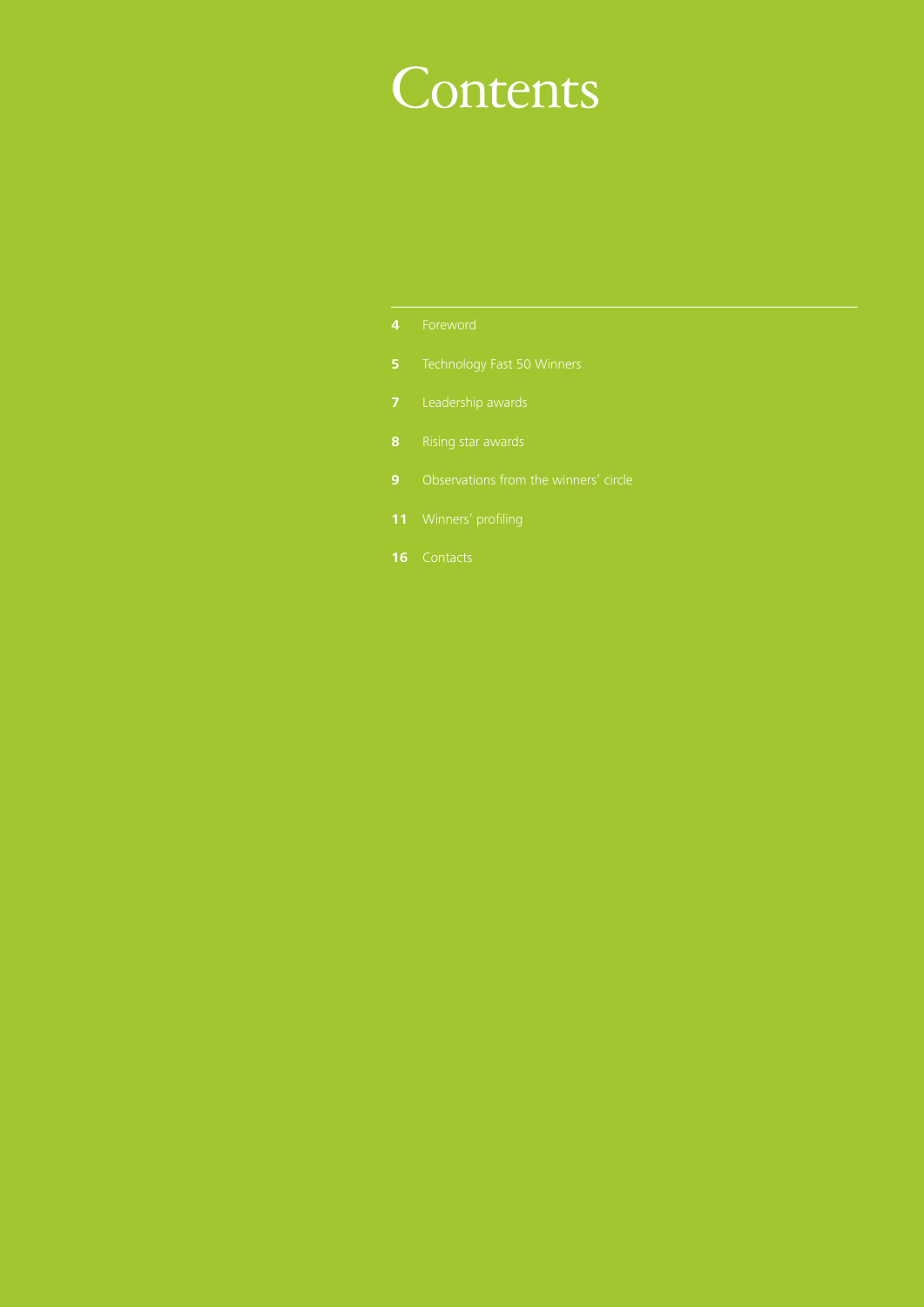### **Contents**

- 
- 
- 
- 
- 
- 
-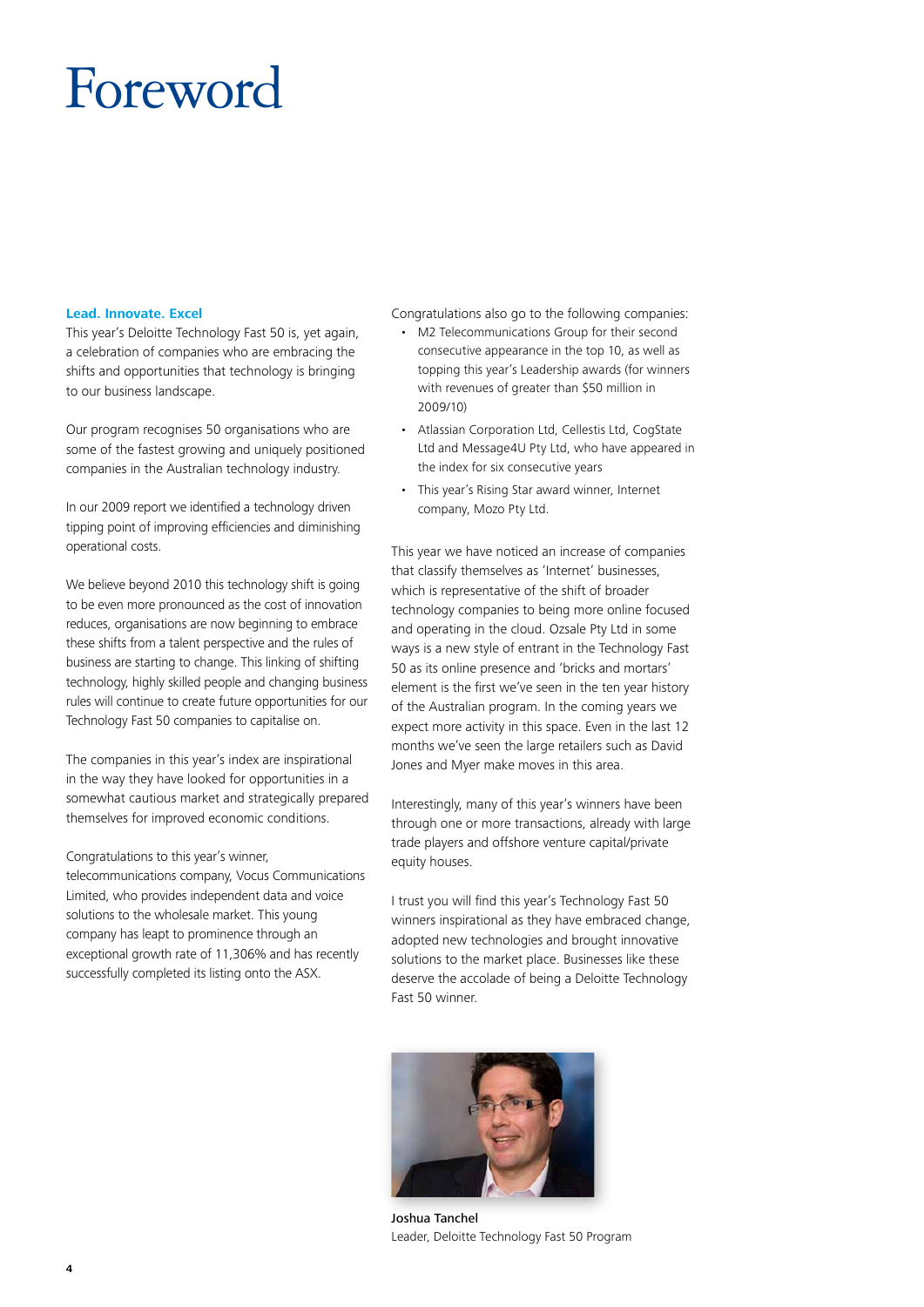### Foreword

#### **Lead. Innovate. Excel**

This year's Deloitte Technology Fast 50 is, yet again, a celebration of companies who are embracing the shifts and opportunities that technology is bringing to our business landscape.

Our program recognises 50 organisations who are some of the fastest growing and uniquely positioned companies in the Australian technology industry.

In our 2009 report we identified a technology driven tipping point of improving efficiencies and diminishing operational costs.

We believe beyond 2010 this technology shift is going to be even more pronounced as the cost of innovation reduces, organisations are now beginning to embrace these shifts from a talent perspective and the rules of business are starting to change. This linking of shifting technology, highly skilled people and changing business rules will continue to create future opportunities for our Technology Fast 50 companies to capitalise on.

The companies in this year's index are inspirational in the way they have looked for opportunities in a somewhat cautious market and strategically prepared themselves for improved economic conditions.

Congratulations to this year's winner, telecommunications company, Vocus Communications Limited, who provides independent data and voice solutions to the wholesale market. This young company has leapt to prominence through an exceptional growth rate of 11,306% and has recently successfully completed its listing onto the ASX.

Congratulations also go to the following companies:

- M2 Telecommunications Group for their second consecutive appearance in the top 10, as well as topping this year's Leadership awards (for winners with revenues of greater than \$50 million in 2009/10)
- Atlassian Corporation Ltd, Cellestis Ltd, CogState Ltd and Message4U Pty Ltd, who have appeared in the index for six consecutive years
- This year's Rising Star award winner, Internet company, Mozo Pty Ltd.

This year we have noticed an increase of companies that classify themselves as 'Internet' businesses, which is representative of the shift of broader technology companies to being more online focused and operating in the cloud. Ozsale Pty Ltd in some ways is a new style of entrant in the Technology Fast 50 as its online presence and 'bricks and mortars' element is the first we've seen in the ten year history of the Australian program. In the coming years we expect more activity in this space. Even in the last 12 months we've seen the large retailers such as David Jones and Myer make moves in this area.

Interestingly, many of this year's winners have been through one or more transactions, already with large trade players and offshore venture capital/private equity houses.

I trust you will find this year's Technology Fast 50 winners inspirational as they have embraced change, adopted new technologies and brought innovative solutions to the market place. Businesses like these deserve the accolade of being a Deloitte Technology Fast 50 winner.



Joshua Tanchel Leader, Deloitte Technology Fast 50 Program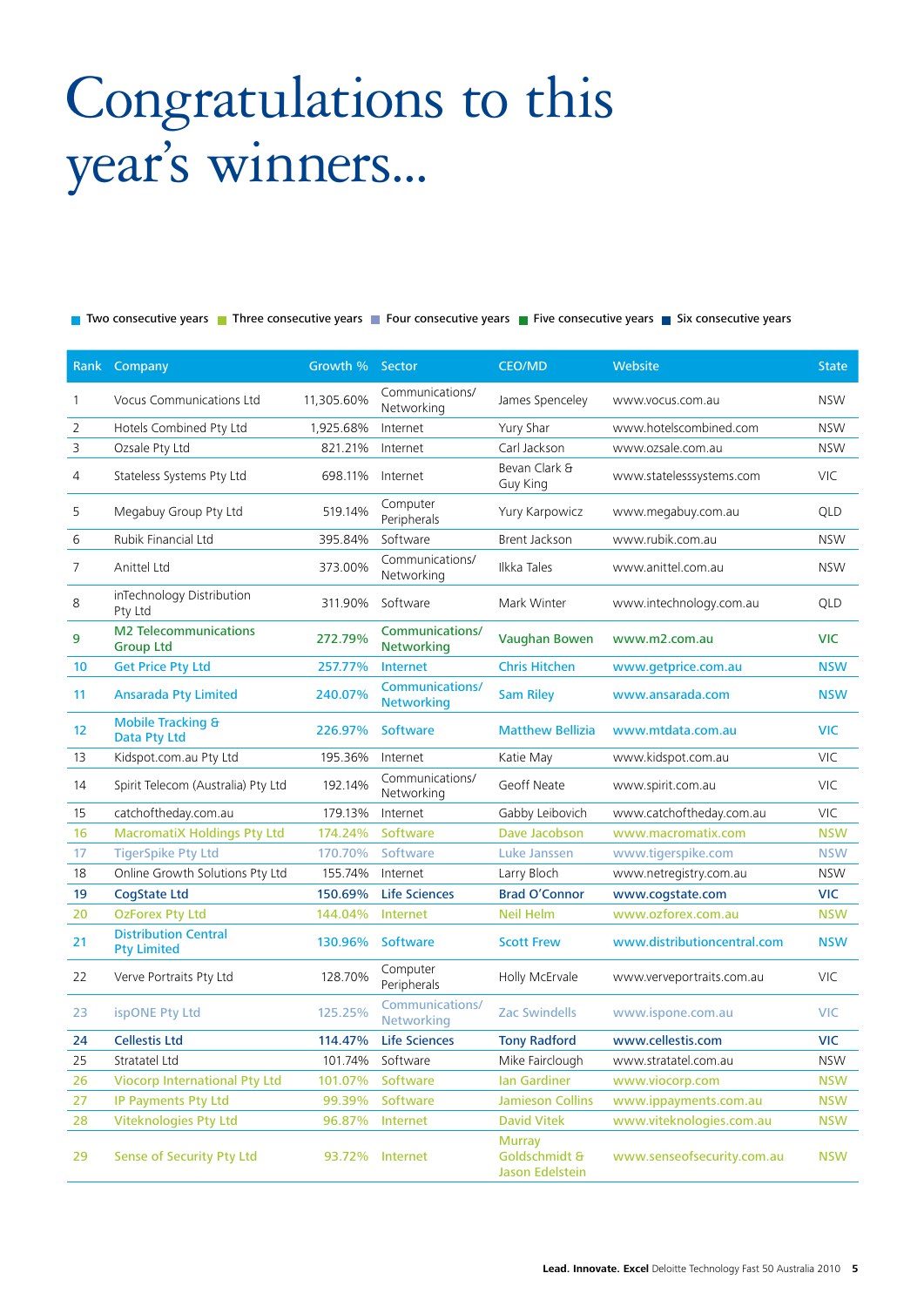# Congratulations to this year's winners...

Two consecutive years Three consecutive years Theur consecutive years The Consecutive years This consecutive years

|              | Rank Company                                      | Growth % Sector |                                             | <b>CEO/MD</b>                                            | Website                     | <b>State</b> |
|--------------|---------------------------------------------------|-----------------|---------------------------------------------|----------------------------------------------------------|-----------------------------|--------------|
| $\mathbf{1}$ | <b>Vocus Communications Ltd</b>                   | 11,305.60%      | Communications/<br>Networking               | James Spenceley                                          | www.vocus.com.au            | <b>NSW</b>   |
| 2            | Hotels Combined Pty Ltd                           | 1,925.68%       | Internet                                    | Yury Shar                                                | www.hotelscombined.com      | <b>NSW</b>   |
| 3            | Ozsale Pty Ltd                                    | 821.21%         | Internet                                    | Carl Jackson                                             | www.ozsale.com.au           | <b>NSW</b>   |
| 4            | Stateless Systems Pty Ltd                         | 698.11%         | Internet                                    | Bevan Clark &<br>Guy King                                | www.statelesssystems.com    | VIC          |
| 5            | Megabuy Group Pty Ltd                             | 519.14%         | Computer<br>Peripherals                     | Yury Karpowicz                                           | www.megabuy.com.au          | QLD          |
| 6            | Rubik Financial Ltd                               | 395.84%         | Software                                    | Brent Jackson                                            | www.rubik.com.au            | <b>NSW</b>   |
| 7            | Anittel Ltd                                       | 373.00%         | Communications/<br>Networking               | Ilkka Tales                                              | www.anittel.com.au          | <b>NSW</b>   |
| 8            | inTechnology Distribution<br>Pty Ltd              | 311.90%         | Software                                    | Mark Winter                                              | www.intechnology.com.au     | QLD          |
| 9            | <b>M2 Telecommunications</b><br><b>Group Ltd</b>  | 272.79%         | Communications/<br><b>Networking</b>        | <b>Vaughan Bowen</b>                                     | www.m2.com.au               | <b>VIC</b>   |
| 10           | <b>Get Price Pty Ltd</b>                          | 257.77%         | <b>Internet</b>                             | <b>Chris Hitchen</b>                                     | www.getprice.com.au         | <b>NSW</b>   |
| 11           | <b>Ansarada Pty Limited</b>                       | 240.07%         | <b>Communications/</b><br><b>Networking</b> | <b>Sam Riley</b>                                         | www.ansarada.com            | <b>NSW</b>   |
| 12           | <b>Mobile Tracking &amp;</b><br>Data Pty Ltd      | 226.97%         | <b>Software</b>                             | <b>Matthew Bellizia</b>                                  | www.mtdata.com.au           | <b>VIC</b>   |
| 13           | Kidspot.com.au Pty Ltd                            | 195.36%         | Internet                                    | Katie May                                                | www.kidspot.com.au          | VIC          |
| 14           | Spirit Telecom (Australia) Pty Ltd                | 192.14%         | Communications/<br>Networking               | Geoff Neate                                              | www.spirit.com.au           | <b>VIC</b>   |
| 15           | catchoftheday.com.au                              | 179.13%         | Internet                                    | Gabby Leibovich                                          | www.catchoftheday.com.au    | <b>VIC</b>   |
| 16           | <b>MacromatiX Holdings Pty Ltd</b>                | 174.24%         | Software                                    | Dave Jacobson                                            | www.macromatix.com          | <b>NSW</b>   |
| 17           | <b>TigerSpike Pty Ltd</b>                         | 170.70%         | Software                                    | <b>Luke Janssen</b>                                      | www.tigerspike.com          | <b>NSW</b>   |
| 18           | Online Growth Solutions Pty Ltd                   | 155.74%         | Internet                                    | Larry Bloch                                              | www.netregistry.com.au      | <b>NSW</b>   |
| 19           | <b>CogState Ltd</b>                               | 150.69%         | <b>Life Sciences</b>                        | <b>Brad O'Connor</b>                                     | www.cogstate.com            | <b>VIC</b>   |
| 20           | <b>OzForex Pty Ltd</b>                            | 144.04%         | <b>Internet</b>                             | <b>Neil Helm</b>                                         | www.ozforex.com.au          | <b>NSW</b>   |
| 21           | <b>Distribution Central</b><br><b>Pty Limited</b> | 130.96%         | <b>Software</b>                             | <b>Scott Frew</b>                                        | www.distributioncentral.com | <b>NSW</b>   |
| 22           | Verve Portraits Pty Ltd                           | 128.70%         | Computer<br>Peripherals                     | Holly McErvale                                           | www.verveportraits.com.au   | VIC          |
| 23           | ispONE Pty Ltd                                    | 125.25%         | Communications/<br>Networking               | <b>Zac Swindells</b>                                     | www.ispone.com.au           | <b>VIC</b>   |
| 24           | <b>Cellestis Ltd</b>                              | 114.47%         | <b>Life Sciences</b>                        | <b>Tony Radford</b>                                      | www.cellestis.com           | <b>VIC</b>   |
| 25           | Stratatel Ltd                                     | 101.74%         | Software                                    | Mike Fairclough                                          | www.stratatel.com.au        | <b>NSW</b>   |
| 26           | <b>Viocorp International Pty Ltd</b>              | 101.07%         | Software                                    | <b>Ian Gardiner</b>                                      | www.viocorp.com             | <b>NSW</b>   |
| 27           | IP Payments Pty Ltd                               | 99.39%          | Software                                    | <b>Jamieson Collins</b>                                  | www.ippayments.com.au       | <b>NSW</b>   |
| 28           | <b>Viteknologies Pty Ltd</b>                      | 96.87%          | Internet                                    | <b>David Vitek</b>                                       | www.viteknologies.com.au    | <b>NSW</b>   |
| 29           | <b>Sense of Security Pty Ltd</b>                  | 93.72%          | Internet                                    | <b>Murray</b><br>Goldschmidt &<br><b>Jason Edelstein</b> | www.senseofsecurity.com.au  | <b>NSW</b>   |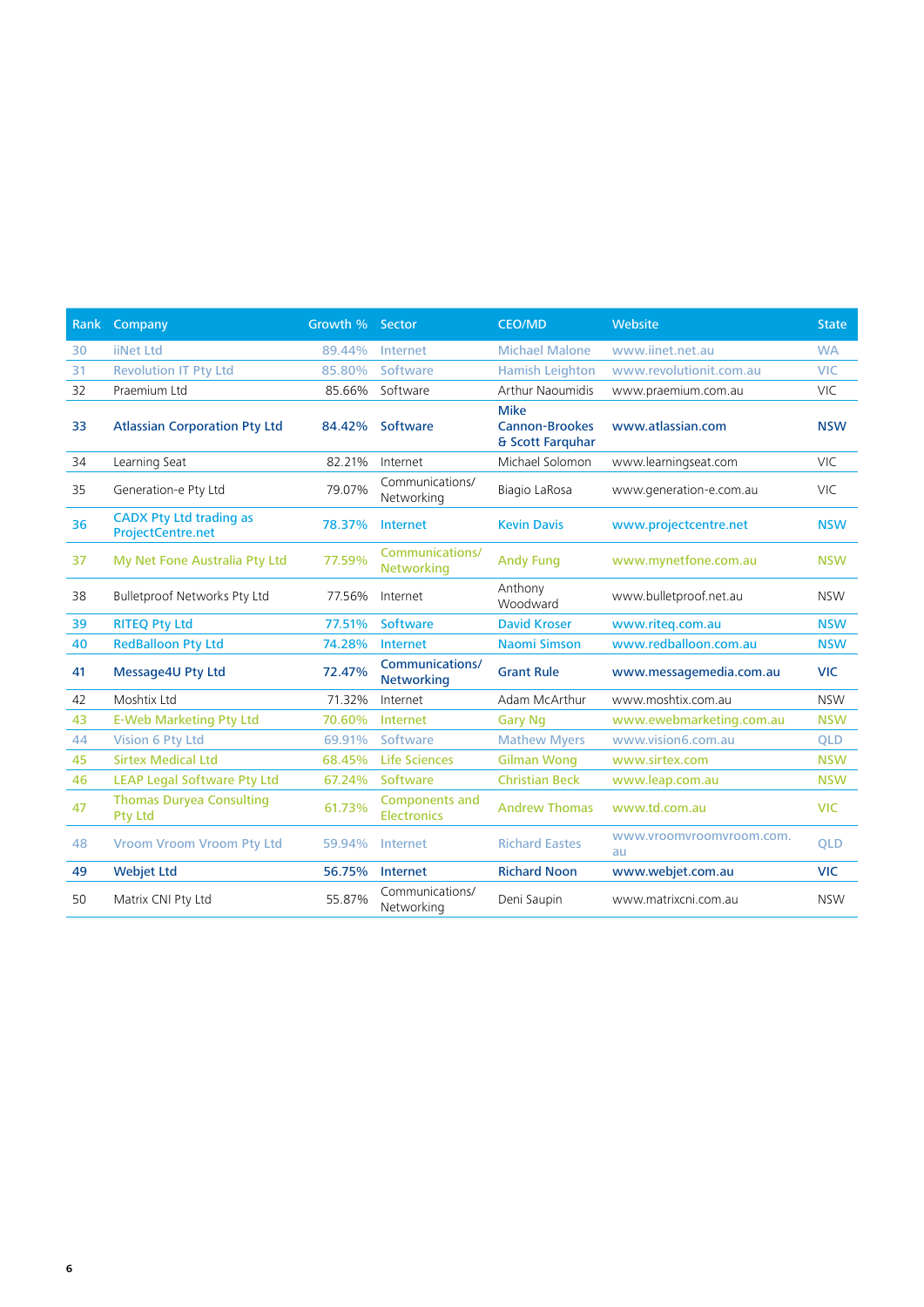| Rank | Company                                                    | Growth % Sector |                                             | <b>CEO/MD</b>                                            | Website                        | <b>State</b> |
|------|------------------------------------------------------------|-----------------|---------------------------------------------|----------------------------------------------------------|--------------------------------|--------------|
| 30   | <b>iiNet Ltd</b>                                           | 89.44%          | Internet                                    | <b>Michael Malone</b>                                    | www.iinet.net.au               | <b>WA</b>    |
| 31   | <b>Revolution IT Pty Ltd</b>                               | 85.80%          | Software                                    | <b>Hamish Leighton</b>                                   | www.revolutionit.com.au        | <b>VIC</b>   |
| 32   | Praemium Ltd                                               | 85.66%          | Software                                    | Arthur Naoumidis                                         | www.praemium.com.au            | <b>VIC</b>   |
| 33   | <b>Atlassian Corporation Pty Ltd</b>                       | 84.42%          | Software                                    | <b>Mike</b><br><b>Cannon-Brookes</b><br>& Scott Farquhar | www.atlassian.com              | <b>NSW</b>   |
| 34   | Learning Seat                                              | 82.21%          | Internet                                    | Michael Solomon                                          | www.learningseat.com           | <b>VIC</b>   |
| 35   | Generation-e Pty Ltd                                       | 79.07%          | Communications/<br>Networking               | Biagio LaRosa                                            | www.generation-e.com.au        | VIC          |
| 36   | <b>CADX Pty Ltd trading as</b><br><b>ProjectCentre.net</b> | 78.37%          | <b>Internet</b>                             | <b>Kevin Davis</b>                                       | www.projectcentre.net          | <b>NSW</b>   |
| 37   | My Net Fone Australia Pty Ltd                              | 77.59%          | <b>Communications/</b><br><b>Networking</b> | <b>Andy Fung</b>                                         | www.mynetfone.com.au           | <b>NSW</b>   |
| 38   | Bulletproof Networks Pty Ltd                               | 77.56%          | Internet                                    | Anthony<br>Woodward                                      | www.bulletproof.net.au         | <b>NSW</b>   |
| 39   | <b>RITEQ Pty Ltd</b>                                       | 77.51%          | Software                                    | <b>David Kroser</b>                                      | www.riteq.com.au               | <b>NSW</b>   |
| 40   | <b>RedBalloon Pty Ltd</b>                                  | 74.28%          | <b>Internet</b>                             | <b>Naomi Simson</b>                                      | www.redballoon.com.au          | <b>NSW</b>   |
| 41   | Message4U Pty Ltd                                          | 72.47%          | <b>Communications/</b><br><b>Networking</b> | <b>Grant Rule</b>                                        | www.messagemedia.com.au        | <b>VIC</b>   |
| 42   | Moshtix Ltd                                                | 71.32%          | Internet                                    | Adam McArthur                                            | www.moshtix.com.au             | <b>NSW</b>   |
| 43   | <b>E-Web Marketing Pty Ltd</b>                             | 70.60%          | Internet                                    | <b>Gary Ng</b>                                           | www.ewebmarketing.com.au       | <b>NSW</b>   |
| 44   | <b>Vision 6 Pty Ltd</b>                                    | 69.91%          | Software                                    | <b>Mathew Myers</b>                                      | www.vision6.com.au             | <b>QLD</b>   |
| 45   | <b>Sirtex Medical Ltd</b>                                  | 68.45%          | <b>Life Sciences</b>                        | <b>Gilman Wong</b>                                       | www.sirtex.com                 | <b>NSW</b>   |
| 46   | <b>LEAP Legal Software Pty Ltd</b>                         | 67.24%          | Software                                    | <b>Christian Beck</b>                                    | www.leap.com.au                | <b>NSW</b>   |
| 47   | <b>Thomas Duryea Consulting</b><br><b>Pty Ltd</b>          | 61.73%          | <b>Components and</b><br><b>Electronics</b> | <b>Andrew Thomas</b>                                     | www.td.com.au                  | <b>VIC</b>   |
| 48   | <b>Vroom Vroom Vroom Pty Ltd</b>                           | 59.94%          | Internet                                    | <b>Richard Eastes</b>                                    | www.vroomvroomvroom.com.<br>au | <b>QLD</b>   |
| 49   | <b>Webjet Ltd</b>                                          | 56.75%          | Internet                                    | <b>Richard Noon</b>                                      | www.webjet.com.au              | <b>VIC</b>   |
| 50   | Matrix CNI Pty Ltd                                         | 55.87%          | Communications/<br>Networking               | Deni Saupin                                              | www.matrixcni.com.au           | <b>NSW</b>   |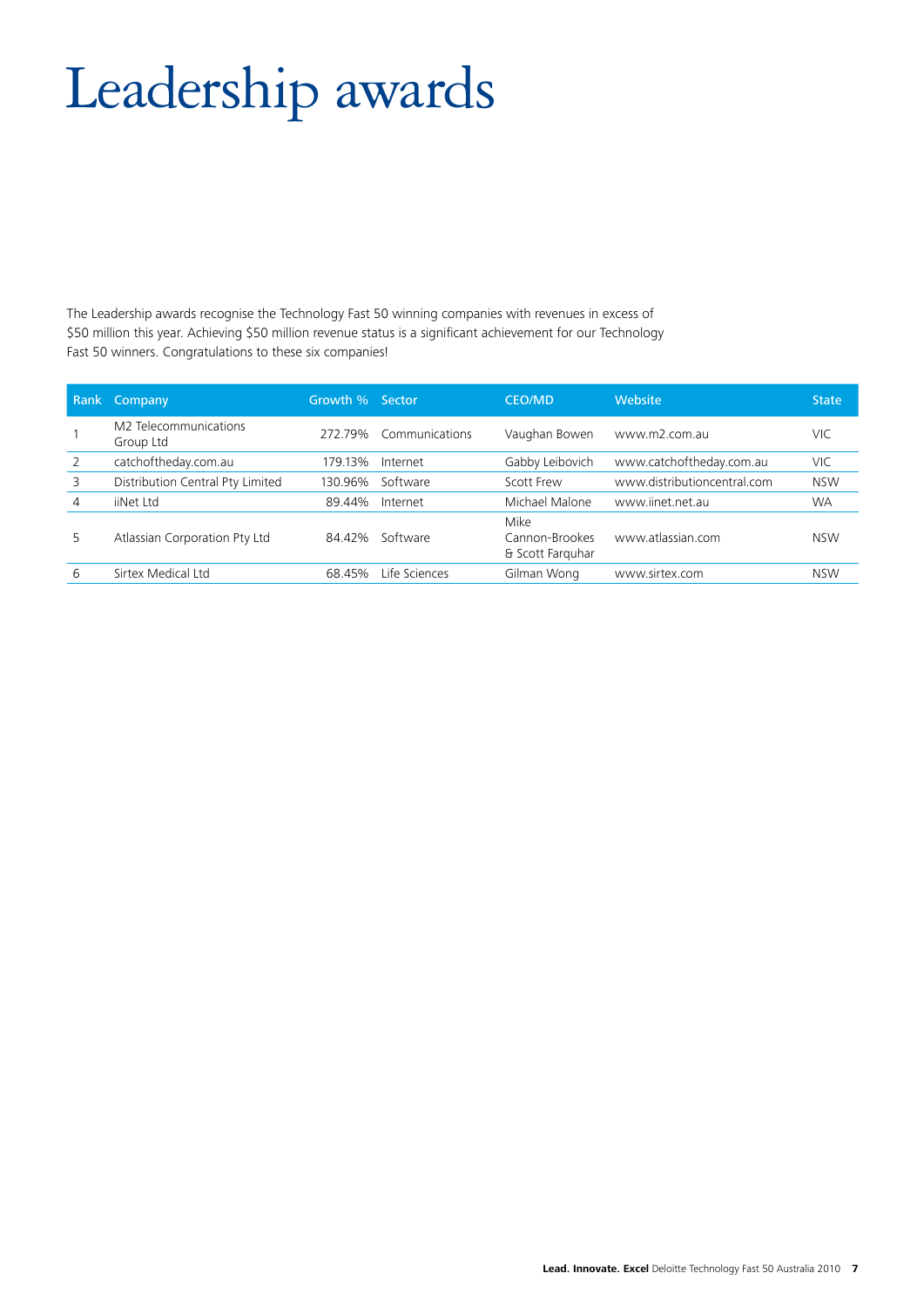# Leadership awards

The Leadership awards recognise the Technology Fast 50 winning companies with revenues in excess of \$50 million this year. Achieving \$50 million revenue status is a significant achievement for our Technology Fast 50 winners. Congratulations to these six companies!

|   | Rank Company                       | Growth % Sector |                | <b>CEO/MD</b>                              | <b>Website</b>              | <b>State</b> |
|---|------------------------------------|-----------------|----------------|--------------------------------------------|-----------------------------|--------------|
|   | M2 Telecommunications<br>Group Ltd | 272.79%         | Communications | Vaughan Bowen                              | www.m2.com.au               | VIC.         |
| 2 | catchoftheday.com.au               | 179.13%         | Internet       | Gabby Leibovich                            | www.catchoftheday.com.au    | VIC          |
| 3 | Distribution Central Pty Limited   | 130.96%         | Software       | Scott Frew                                 | www.distributioncentral.com | <b>NSW</b>   |
| 4 | iiNet Ltd                          | 89.44%          | Internet       | Michael Malone                             | www.iinet.net.au            | <b>WA</b>    |
| 5 | Atlassian Corporation Pty Ltd      | 84.42%          | Software       | Mike<br>Cannon-Brookes<br>& Scott Farguhar | www.atlassian.com           | <b>NSW</b>   |
| 6 | Sirtex Medical Ltd                 | 68.45%          | Life Sciences  | Gilman Wong                                | www.sirtex.com              | <b>NSW</b>   |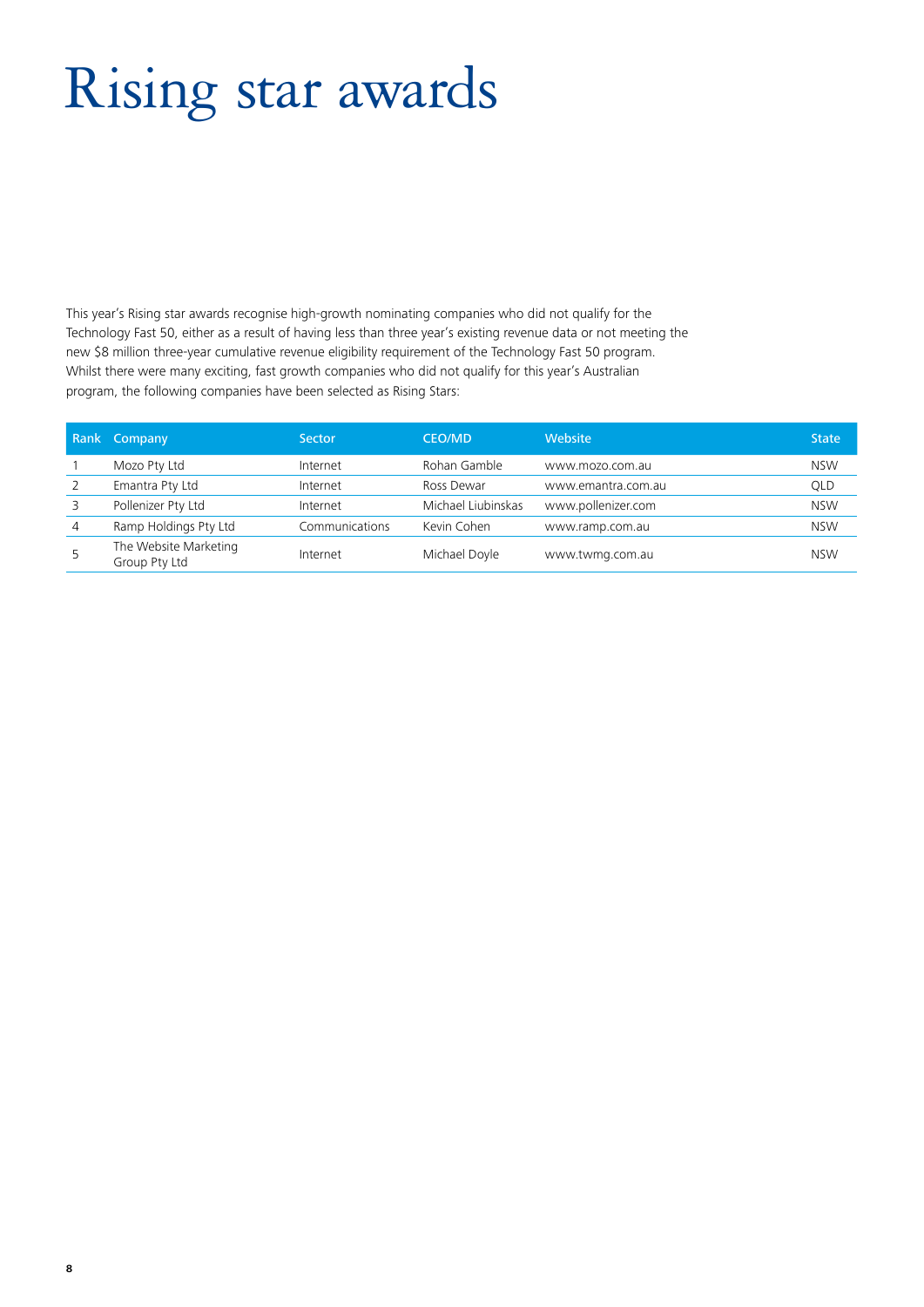# Rising star awards

This year's Rising star awards recognise high-growth nominating companies who did not qualify for the Technology Fast 50, either as a result of having less than three year's existing revenue data or not meeting the new \$8 million three-year cumulative revenue eligibility requirement of the Technology Fast 50 program. Whilst there were many exciting, fast growth companies who did not qualify for this year's Australian program, the following companies have been selected as Rising Stars:

|                | Rank Company                           | <b>Sector</b>  | <b>CEO/MD</b>      | Website            | <b>State</b> |
|----------------|----------------------------------------|----------------|--------------------|--------------------|--------------|
|                | Mozo Pty Ltd                           | Internet       | Rohan Gamble       | www.mozo.com.au    | <b>NSW</b>   |
| 2              | Emantra Pty Ltd                        | Internet       | Ross Dewar         | www.emantra.com.au | QLD          |
| 3              | Pollenizer Pty Ltd                     | Internet       | Michael Liubinskas | www.pollenizer.com | <b>NSW</b>   |
| $\overline{4}$ | Ramp Holdings Pty Ltd                  | Communications | Kevin Cohen        | www.ramp.com.au    | <b>NSW</b>   |
| 5              | The Website Marketing<br>Group Pty Ltd | Internet       | Michael Doyle      | www.twmg.com.au    | <b>NSW</b>   |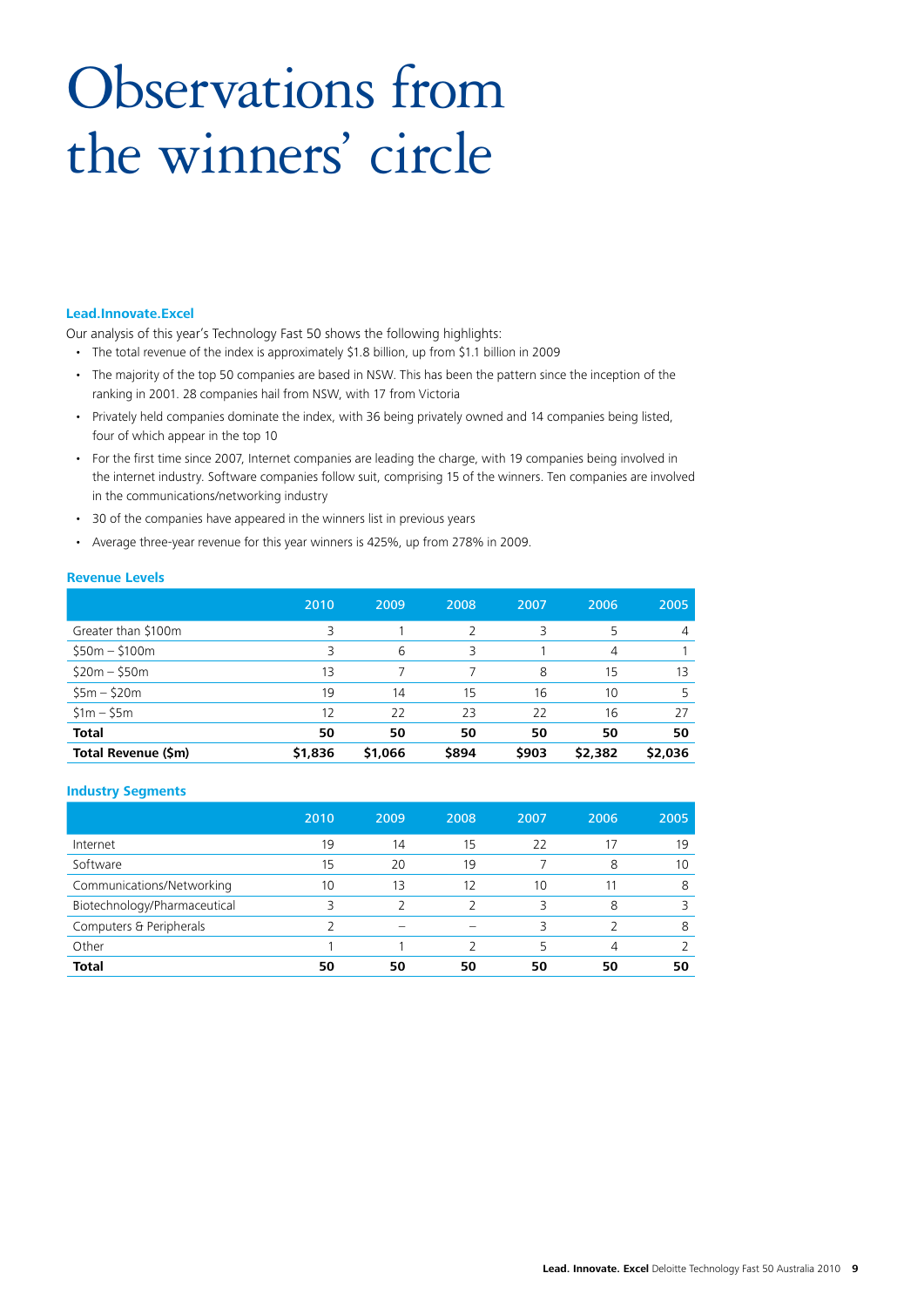# Observations from the winners' circle

#### **Lead.Innovate.Excel**

Our analysis of this year's Technology Fast 50 shows the following highlights:

- The total revenue of the index is approximately \$1.8 billion, up from \$1.1 billion in 2009
- The majority of the top 50 companies are based in NSW. This has been the pattern since the inception of the ranking in 2001. 28 companies hail from NSW, with 17 from Victoria
- Privately held companies dominate the index, with 36 being privately owned and 14 companies being listed, four of which appear in the top 10
- For the first time since 2007, Internet companies are leading the charge, with 19 companies being involved in the internet industry. Software companies follow suit, comprising 15 of the winners. Ten companies are involved in the communications/networking industry
- 30 of the companies have appeared in the winners list in previous years
- Average three-year revenue for this year winners is 425%, up from 278% in 2009.

#### **Revenue Levels**

|                     | 2010    | 2009    | 2008          | 2007  | 2006    | 2005    |
|---------------------|---------|---------|---------------|-------|---------|---------|
| Greater than \$100m | 3       |         | $\mathcal{P}$ | 3     | 5       | 4       |
| $$50m - $100m$      | 3       | 6       | 3             |       | 4       |         |
| $$20m - $50m$       | 13      | 7       | 7             | 8     | 15      | 13      |
| $55m - 520m$        | 19      | 14      | 15            | 16    | 10      | .5      |
| $$1m - $5m$         | 12      | 22      | 23            | 22    | 16      | 27      |
| <b>Total</b>        | 50      | 50      | 50            | 50    | 50      | 50      |
| Total Revenue (\$m) | \$1,836 | \$1,066 | \$894         | \$903 | \$2,382 | \$2,036 |

#### **Industry Segments**

|                              | 2010 | 2009 | 2008 | 2007 | 2006 | 2005 |
|------------------------------|------|------|------|------|------|------|
| Internet                     | 19   | 14   | 15   | 22   | 17   | 19   |
| Software                     | 15   | 20   | 19   |      | 8    | 10   |
| Communications/Networking    | 10   | 13   | 12   | 10   |      | 8    |
| Biotechnology/Pharmaceutical |      | ∍    | フ    | 3    | 8    | 3    |
| Computers & Peripherals      |      |      |      | ς    |      | 8    |
| Other                        |      |      |      | 5    | 4    |      |
| <b>Total</b>                 | 50   | 50   | 50   | 50   | 50   | 50   |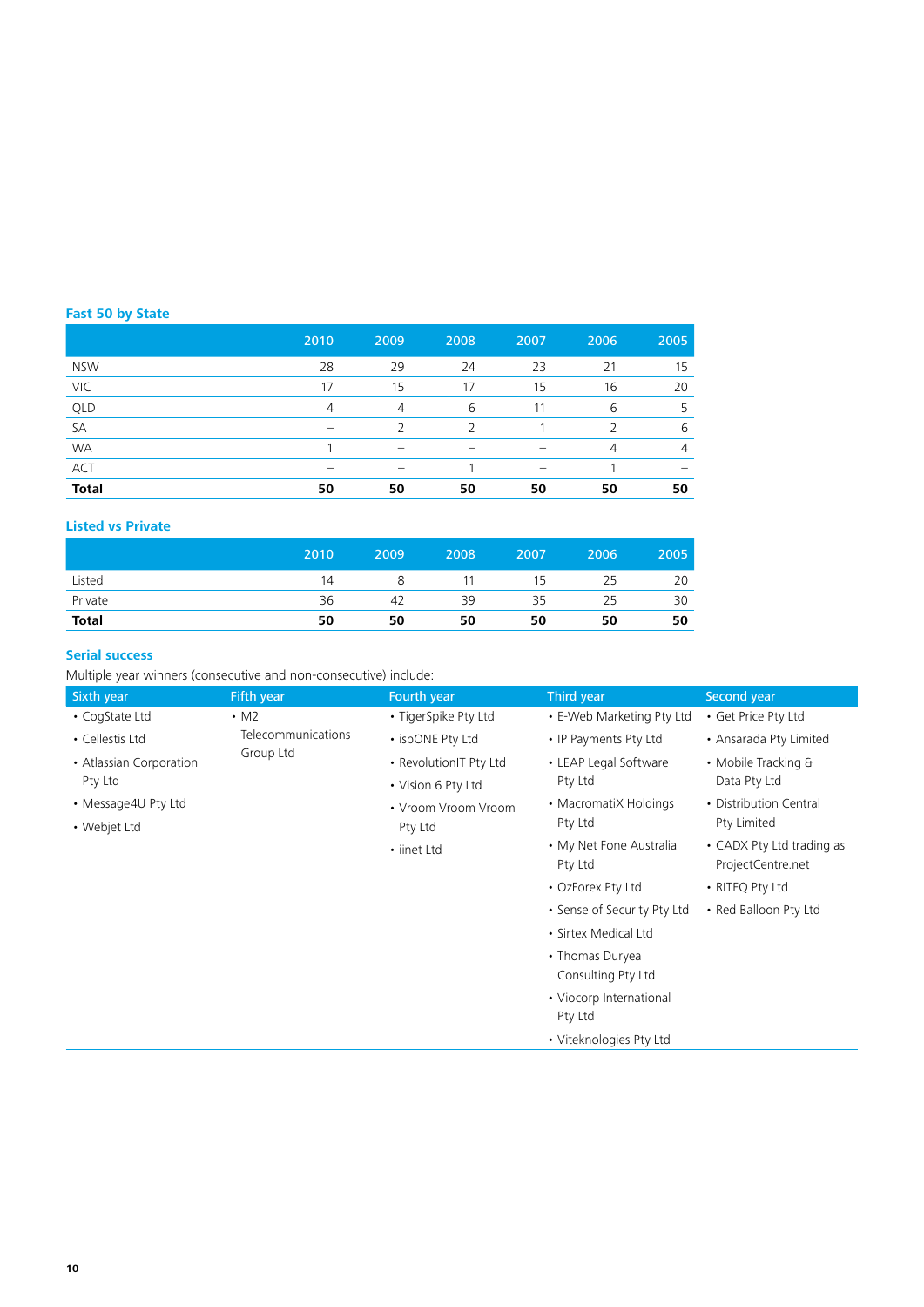### **Fast 50 by State**

|              | 2010           | 2009           | 2008          | 2007 | 2006          | 2005                     |
|--------------|----------------|----------------|---------------|------|---------------|--------------------------|
| <b>NSW</b>   | 28             | 29             | 24            | 23   | 21            | 15                       |
| VIC          | 17             | 15             | 17            | 15   | 16            | 20                       |
| QLD          | $\overline{4}$ | $\overline{4}$ | 6             | 11   | 6             | .5                       |
| SA           | -              | っ              | $\mathcal{L}$ |      | $\mathcal{P}$ | 6                        |
| <b>WA</b>    |                |                |               |      | 4             | $\overline{4}$           |
| <b>ACT</b>   | -              | -              |               | -    |               | $\overline{\phantom{a}}$ |
| <b>Total</b> | 50             | 50             | 50            | 50   | 50            | 50                       |

### **Listed vs Private**

|              | 2010 | 2009 | 2008 | 2007 | 2006 | 2005 |
|--------------|------|------|------|------|------|------|
| Listed       | 14   |      |      | 15   | 25   | 20   |
| Private      | 36   | 42   | 39   | 35   | 25   | 30   |
| <b>Total</b> | 50   | 50   | 50   | 50   | 50   | 50   |

### **Serial success**

Multiple year winners (consecutive and non-consecutive) include:

| Sixth year              | Fifth year         | Fourth year            | Third year                         | Second year                                    |
|-------------------------|--------------------|------------------------|------------------------------------|------------------------------------------------|
| • CogState Ltd          | $\cdot$ M2         | • TigerSpike Pty Ltd   | • E-Web Marketing Pty Ltd          | • Get Price Pty Ltd                            |
| • Cellestis Ltd         | Telecommunications | • ispONE Pty Ltd       | • IP Payments Pty Ltd              | • Ansarada Pty Limited                         |
| • Atlassian Corporation | Group Ltd          | • RevolutionIT Pty Ltd | • LEAP Legal Software              | • Mobile Tracking &                            |
| Pty Ltd                 |                    | • Vision 6 Pty Ltd     | Pty Ltd                            | Data Pty Ltd                                   |
| • Message4U Pty Ltd     |                    | • Vroom Vroom Vroom    | • MacromatiX Holdings              | • Distribution Central                         |
| • Webjet Ltd            |                    | Pty Ltd                | Pty Ltd                            | Pty Limited                                    |
|                         |                    | • iinet Ltd            | • My Net Fone Australia<br>Pty Ltd | • CADX Pty Ltd trading as<br>ProjectCentre.net |
|                         |                    |                        | • OzForex Pty Ltd                  | • RITEQ Pty Ltd                                |
|                         |                    |                        | • Sense of Security Pty Ltd        | • Red Balloon Pty Ltd                          |
|                         |                    |                        | • Sirtex Medical Ltd               |                                                |
|                         |                    |                        | • Thomas Duryea                    |                                                |
|                         |                    |                        | Consulting Pty Ltd                 |                                                |
|                         |                    |                        | • Viocorp International            |                                                |
|                         |                    |                        | Pty Ltd                            |                                                |
|                         |                    |                        | • Viteknologies Pty Ltd            |                                                |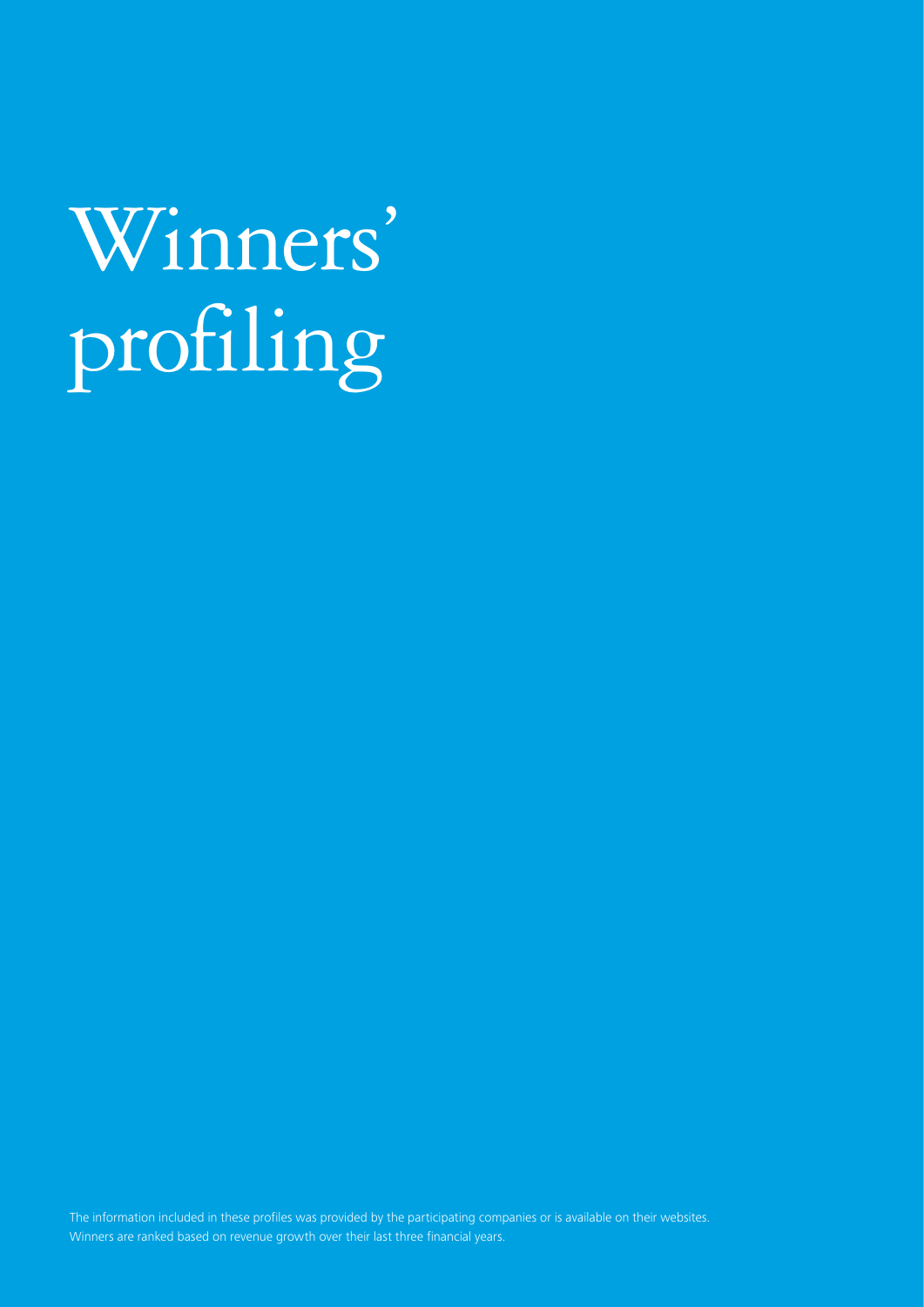# Winners' profiling

The information included in these profiles was provided by the participating companies or is available on their websites. Winners are ranked based on revenue growth over their last three financial years.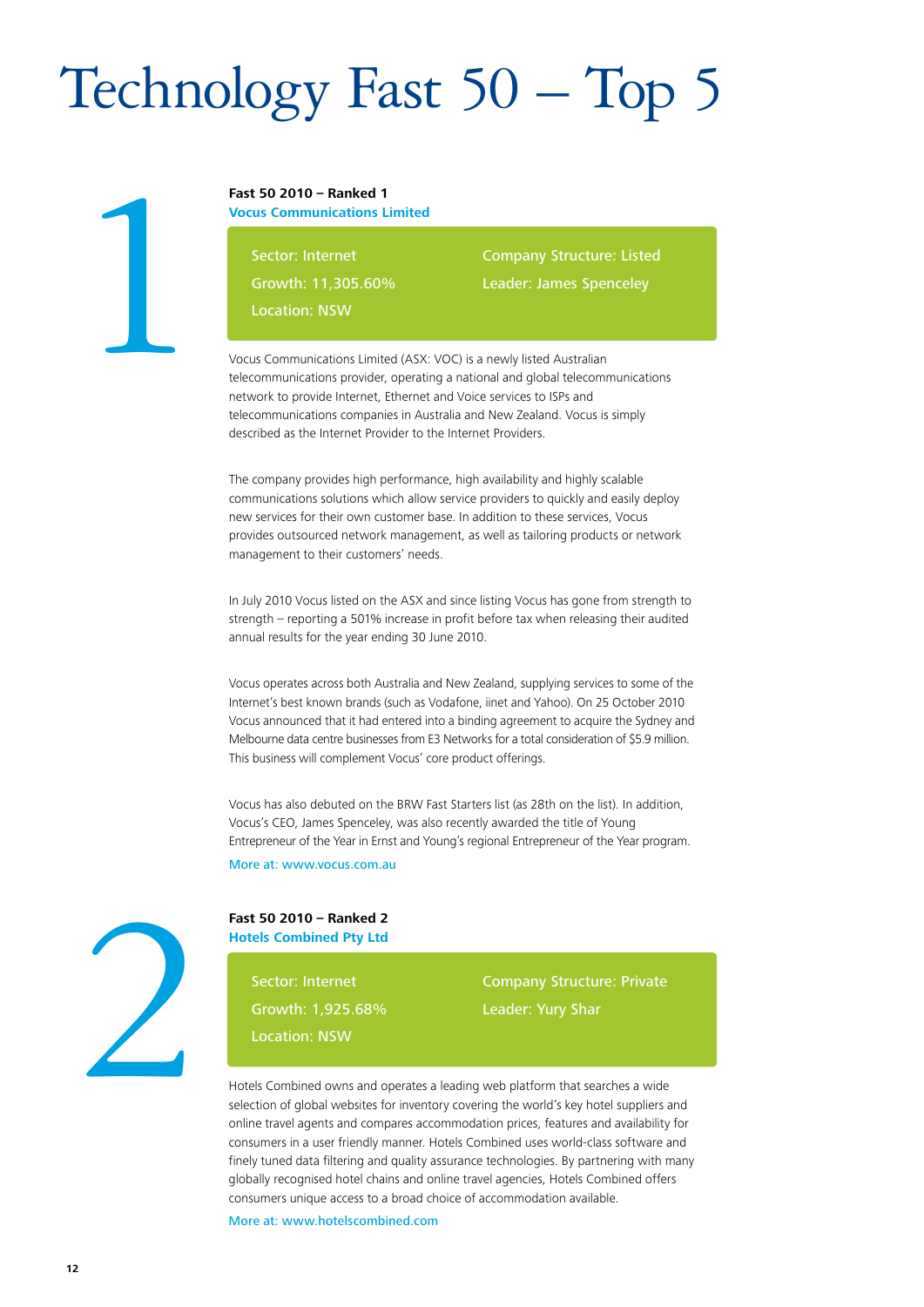# Technology Fast 50 – Top 5

### **Fast 50 2010 – Ranked 1**

**Vocus Communications Limited**

Sector: Internet

Growth: 11,305.60%

Location: NSW

Company Structure: Listed Leader: James Spenceley

Vocus Communications Limited (ASX: VOC) is a newly listed Australian telecommunications provider, operating a national and global telecommunications network to provide Internet, Ethernet and Voice services to ISPs and telecommunications companies in Australia and New Zealand. Vocus is simply described as the Internet Provider to the Internet Providers.

The company provides high performance, high availability and highly scalable communications solutions which allow service providers to quickly and easily deploy new services for their own customer base. In addition to these services, Vocus provides outsourced network management, as well as tailoring products or network management to their customers' needs.

In July 2010 Vocus listed on the ASX and since listing Vocus has gone from strength to strength – reporting a 501% increase in profit before tax when releasing their audited annual results for the year ending 30 June 2010.

Vocus operates across both Australia and New Zealand, supplying services to some of the Internet's best known brands (such as Vodafone, iinet and Yahoo). On 25 October 2010 Vocus announced that it had entered into a binding agreement to acquire the Sydney and Melbourne data centre businesses from E3 Networks for a total consideration of \$5.9 million. This business will complement Vocus' core product offerings.

Vocus has also debuted on the BRW Fast Starters list (as 28th on the list). In addition, Vocus's CEO, James Spenceley, was also recently awarded the title of Young Entrepreneur of the Year in Ernst and Young's regional Entrepreneur of the Year program.

More at: www.vocus.com.au



1

**Fast 50 2010 – Ranked 2 Hotels Combined Pty Ltd**

> Sector: Internet Growth: 1,925.68% Location: NSW

Company Structure: Private Leader: Yury Shar

Hotels Combined owns and operates a leading web platform that searches a wide selection of global websites for inventory covering the world's key hotel suppliers and online travel agents and compares accommodation prices, features and availability for consumers in a user friendly manner. Hotels Combined uses world-class software and finely tuned data filtering and quality assurance technologies. By partnering with many globally recognised hotel chains and online travel agencies, Hotels Combined offers consumers unique access to a broad choice of accommodation available.

More at: www.hotelscombined.com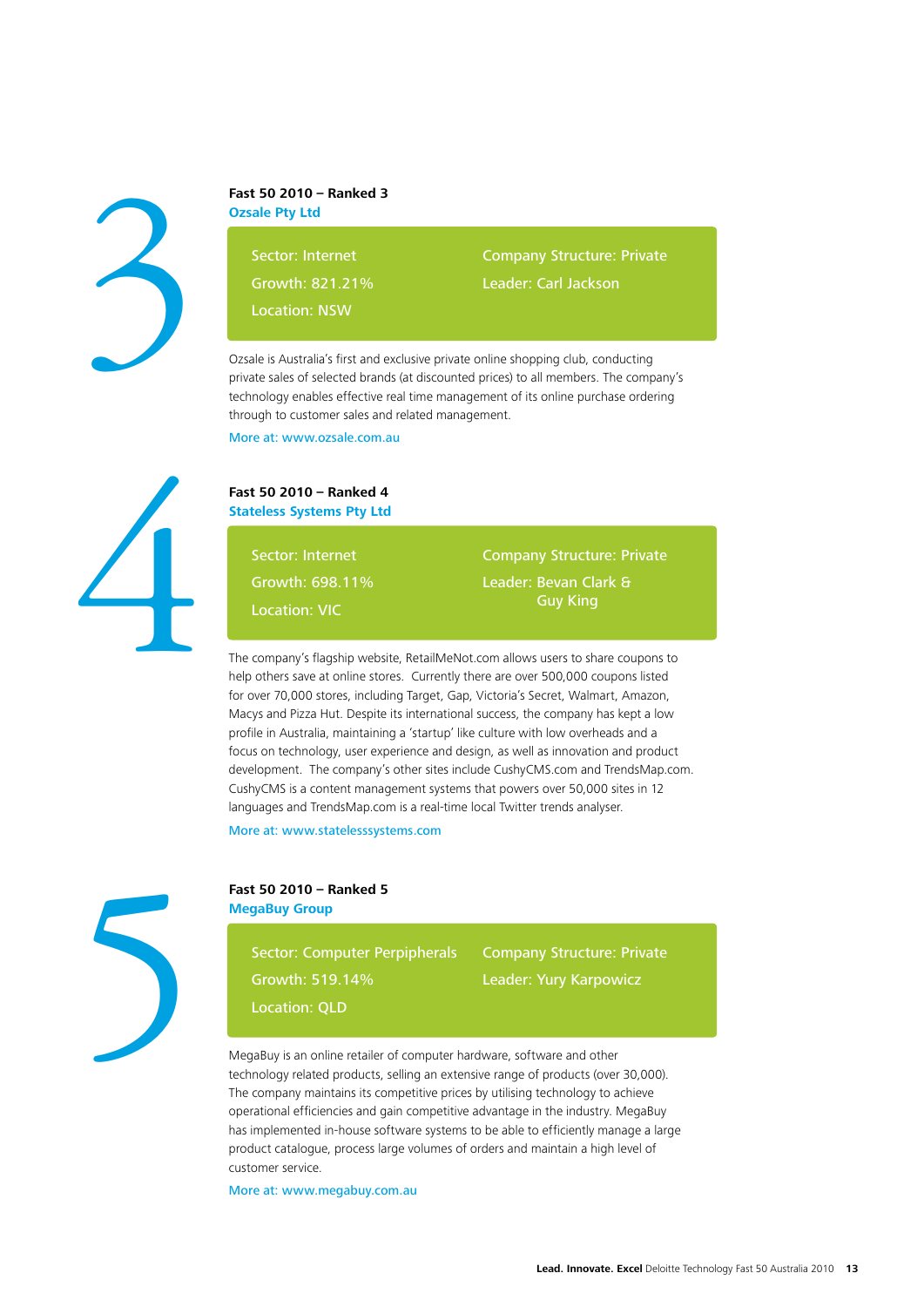

### **Fast 50 2010 – Ranked 3 Ozsale Pty Ltd**

Sector: Internet

Growth: 821.21%

Location: NSW

Company Structure: Private

Leader: Carl Jackson

Ozsale is Australia's first and exclusive private online shopping club, conducting private sales of selected brands (at discounted prices) to all members. The company's technology enables effective real time management of its online purchase ordering through to customer sales and related management.

More at: www.ozsale.com.au



### **Fast 50 2010 – Ranked 4 Stateless Systems Pty Ltd**

Sector: Internet Growth: 698.11% Location: VIC

Company Structure: Private

Leader: Bevan Clark & Guy King

The company's flagship website, RetailMeNot.com allows users to share coupons to help others save at online stores. Currently there are over 500,000 coupons listed for over 70,000 stores, including Target, Gap, Victoria's Secret, Walmart, Amazon, Macys and Pizza Hut. Despite its international success, the company has kept a low profile in Australia, maintaining a 'startup' like culture with low overheads and a focus on technology, user experience and design, as well as innovation and product development. The company's other sites include CushyCMS.com and TrendsMap.com. CushyCMS is a content management systems that powers over 50,000 sites in 12 languages and TrendsMap.com is a real-time local Twitter trends analyser.

More at: www.statelesssystems.com



### **Fast 50 2010 – Ranked 5 MegaBuy Group**

Sector: Computer Perpipherals Growth: 519.14%

Company Structure: Private Leader: Yury Karpowicz

Location: QLD

MegaBuy is an online retailer of computer hardware, software and other technology related products, selling an extensive range of products (over 30,000). The company maintains its competitive prices by utilising technology to achieve operational efficiencies and gain competitive advantage in the industry. MegaBuy has implemented in-house software systems to be able to efficiently manage a large product catalogue, process large volumes of orders and maintain a high level of customer service.

More at: www.megabuy.com.au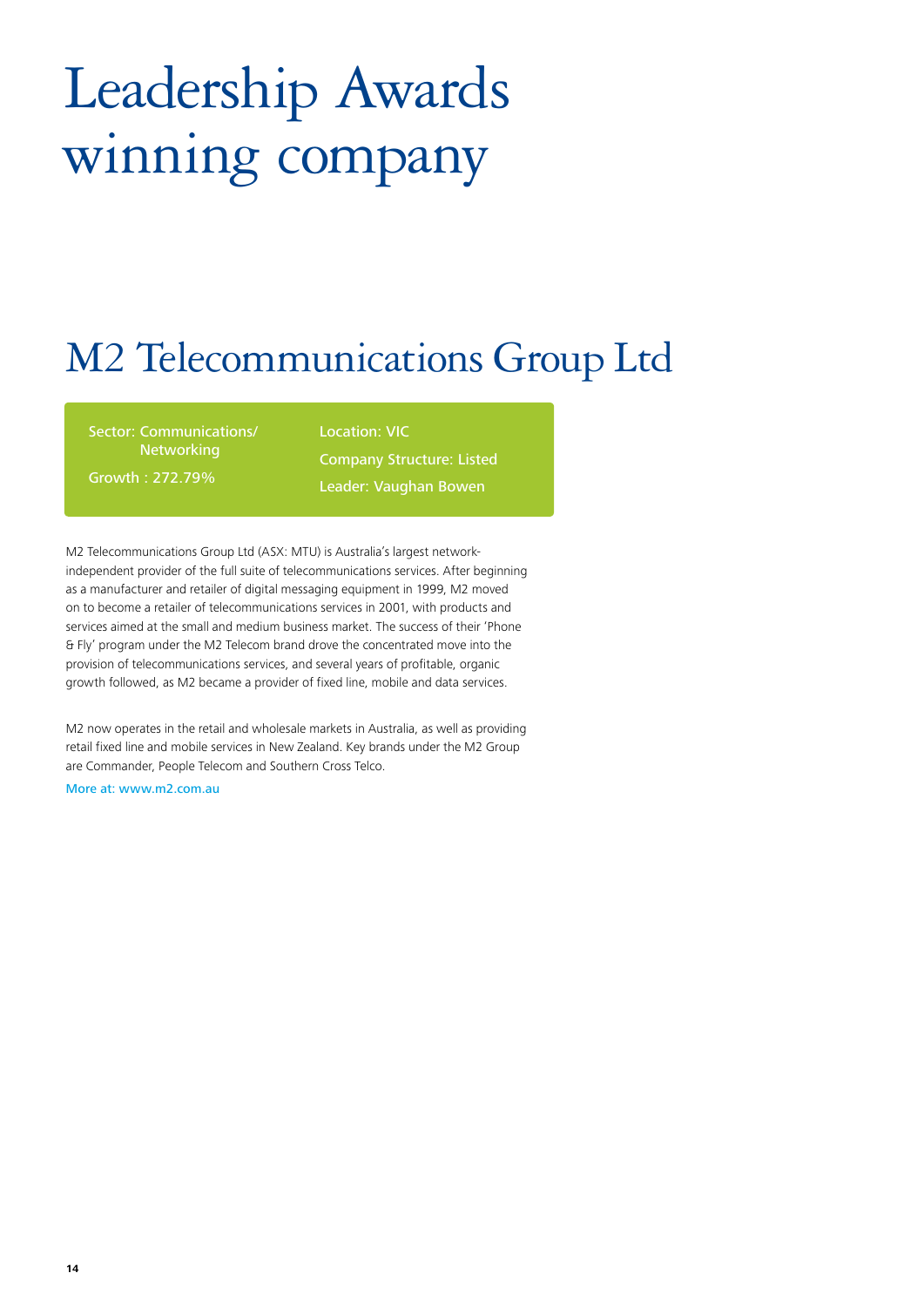# Leadership Awards winning company

### M2 Telecommunications Group Ltd

Sector: Communications/ Networking Growth : 272.79%

Location: VIC Company Structure: Listed Leader: Vaughan Bowen

M2 Telecommunications Group Ltd (ASX: MTU) is Australia's largest networkindependent provider of the full suite of telecommunications services. After beginning as a manufacturer and retailer of digital messaging equipment in 1999, M2 moved on to become a retailer of telecommunications services in 2001, with products and services aimed at the small and medium business market. The success of their 'Phone & Fly' program under the M2 Telecom brand drove the concentrated move into the provision of telecommunications services, and several years of profitable, organic growth followed, as M2 became a provider of fixed line, mobile and data services.

M2 now operates in the retail and wholesale markets in Australia, as well as providing retail fixed line and mobile services in New Zealand. Key brands under the M2 Group are Commander, People Telecom and Southern Cross Telco.

More at: www.m2.com.au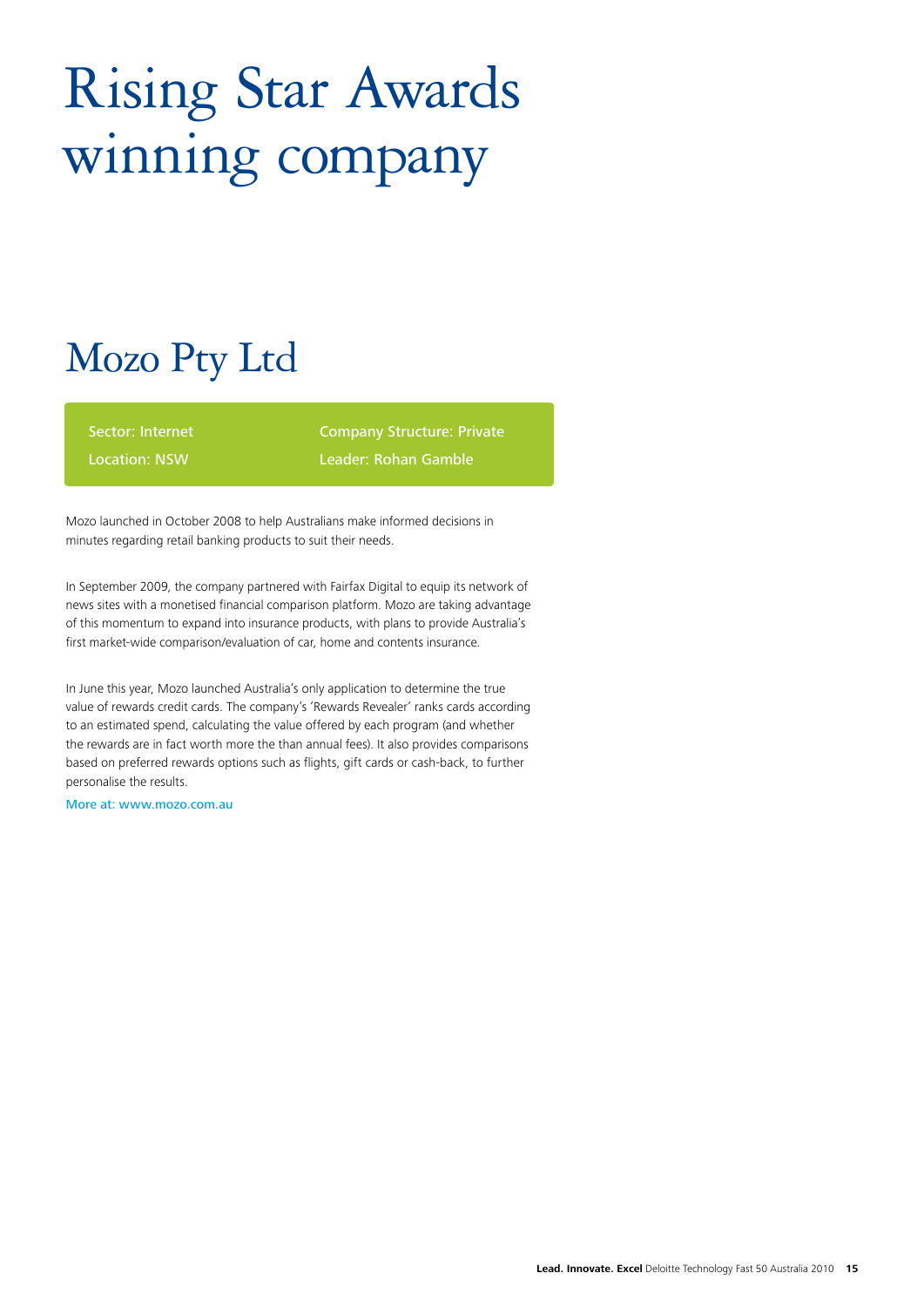# Rising Star Awards winning company

### Mozo Pty Ltd

Sector: Internet

Location: NSW

Company Structure: Private Leader: Rohan Gamble

Mozo launched in October 2008 to help Australians make informed decisions in minutes regarding retail banking products to suit their needs.

In September 2009, the company partnered with Fairfax Digital to equip its network of news sites with a monetised financial comparison platform. Mozo are taking advantage of this momentum to expand into insurance products, with plans to provide Australia's first market-wide comparison/evaluation of car, home and contents insurance.

In June this year, Mozo launched Australia's only application to determine the true value of rewards credit cards. The company's 'Rewards Revealer' ranks cards according to an estimated spend, calculating the value offered by each program (and whether the rewards are in fact worth more the than annual fees). It also provides comparisons based on preferred rewards options such as flights, gift cards or cash-back, to further personalise the results.

More at: www.mozo.com.au